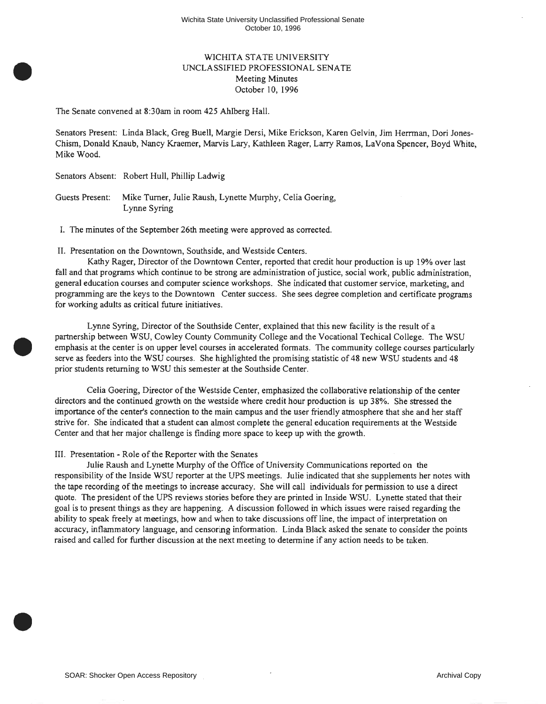## WICHITA STATE UNIVERSITY UNCLASSIFIED PROFESSIONAL SENA TE Meeting Minutes October 10, 1996

The Senate convened at 8:30am in room 425 Ahlberg Hall.

Senators Present: Linda Black, Greg Buell, Margie Dersi, Mike Erickson, Karen Gelvin, Jim Herrman, Dori Jones-Chism, Donald Knaub, Nancy Kraemer, Marvis Lary, Kathleen Rager, Larry Ramos, La Vona Spencer, Boyd White, Mike Wood.

Senators Absent: Robert Hull, Phillip Ladwig

•

•

•

Guests Present: Mike Turner, Julie Raush, Lynette Murphy, Celia Goering, Lynne Syring

I. The minutes of the September 26th meeting were approved as corrected.

II. Presentation on the Downtown, Southside, and Westside Centers.

Kathy Rager, Director of the Downtown Center, reported that credit hour production is up 19% over last fall and that programs which continue to be strong are administration of justice, social work, public administration, general education courses and computer science workshops. She indicated that customer service, marketing, and programming are the keys to the Downtown Center success. She sees degree completion and certificate programs for working adults as critical future initiatives.

Lynne Syring, Director of the Southside Center, explained that this new facility is the result of a partnership between WSU, Cowley County Community College and the Vocational Techical College. The WSU emphasis at the center is on upper level courses in accelerated formats. The community college courses particularly serve as feeders into the WSU courses. She highlighted the promising statistic of 48 new WSU students and 48 prior students returning to WSU this semester at the Southside Center.

Celia Goering, Director of the Westside Center, emphasized the collaborative relationship of the center directors and the continued growth on the westside where credit hour production is up 38%. She stressed the importance of the center's connection to the main campus and the user friendly atmosphere that she and her staff strive for. She indicated that a student can almost complete the general education requirements at the Westside Center and that her major challenge is finding more space to keep up with the growth.

## III. Presentation - Role of the Reporter with the Senates

Julie Raush and Lynette Murphy of the Office of University Communications reported on the responsibility of the Inside WSU reporter at the UPS meetings. Julie indicated that she supplements her notes with the tape recording of the meetings to increase accuracy. She will call individuals for permission to use a direct quote. The president of the UPS reviews stories before they are printed in Inside WSU. Lynette stated that their goal is to present things as they are happening. A discussion followed in which issues were raised regarding the ability to speak freely at meetings, how and when to take discussions off line, the impact of interpretation on accuracy, inflammatory language, and censoring information. Linda Black asked the senate to consider the points raised and called for further discussion at the next meeting to determine if any action needs to be taken .